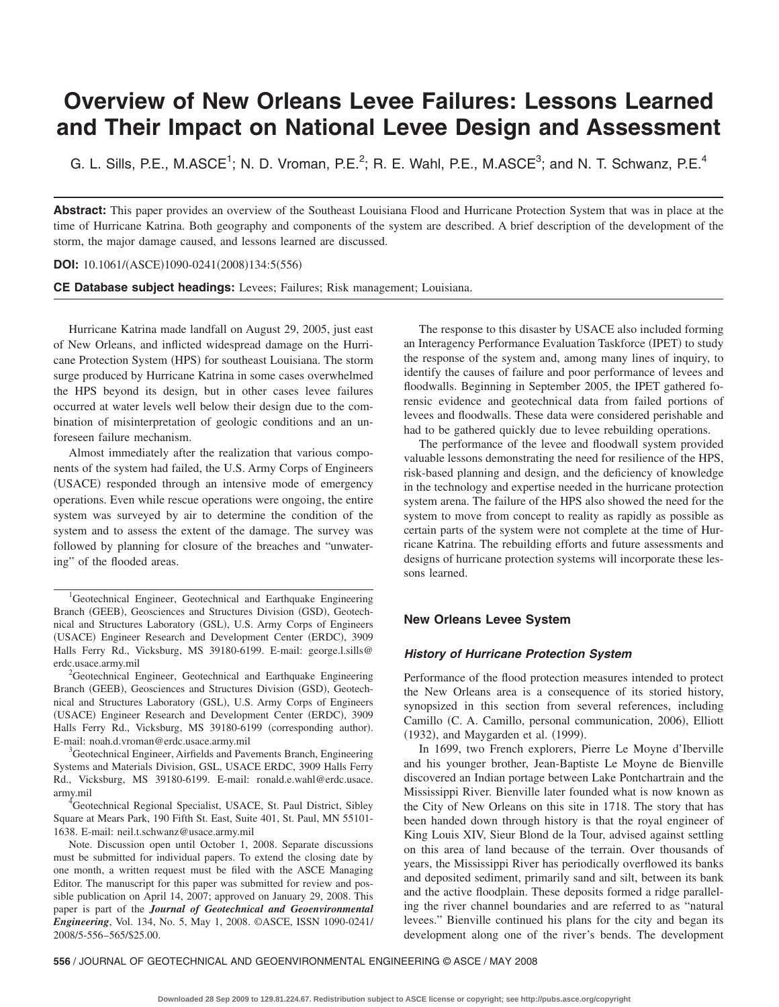# **Overview of New Orleans Levee Failures: Lessons Learned and Their Impact on National Levee Design and Assessment**

G. L. Sills, P.E., M.ASCE<sup>1</sup>; N. D. Vroman, P.E.<sup>2</sup>; R. E. Wahl, P.E., M.ASCE<sup>3</sup>; and N. T. Schwanz, P.E.<sup>4</sup>

**Abstract:** This paper provides an overview of the Southeast Louisiana Flood and Hurricane Protection System that was in place at the time of Hurricane Katrina. Both geography and components of the system are described. A brief description of the development of the storm, the major damage caused, and lessons learned are discussed.

#### **DOI:** 10.1061/(ASCE)1090-0241(2008)134:5(556)

**CE Database subject headings:** Levees; Failures; Risk management; Louisiana.

Hurricane Katrina made landfall on August 29, 2005, just east of New Orleans, and inflicted widespread damage on the Hurricane Protection System (HPS) for southeast Louisiana. The storm surge produced by Hurricane Katrina in some cases overwhelmed the HPS beyond its design, but in other cases levee failures occurred at water levels well below their design due to the combination of misinterpretation of geologic conditions and an unforeseen failure mechanism.

Almost immediately after the realization that various components of the system had failed, the U.S. Army Corps of Engineers (USACE) responded through an intensive mode of emergency operations. Even while rescue operations were ongoing, the entire system was surveyed by air to determine the condition of the system and to assess the extent of the damage. The survey was followed by planning for closure of the breaches and "unwatering" of the flooded areas.

<sup>3</sup>Geotechnical Engineer, Airfields and Pavements Branch, Engineering Systems and Materials Division, GSL, USACE ERDC, 3909 Halls Ferry Rd., Vicksburg, MS 39180-6199. E-mail: ronald.e.wahl@erdc.usace. army.mil <sup>4</sup>

<sup>4</sup>Geotechnical Regional Specialist, USACE, St. Paul District, Sibley Square at Mears Park, 190 Fifth St. East, Suite 401, St. Paul, MN 55101- 1638. E-mail: neil.t.schwanz@usace.army.mil

Note. Discussion open until October 1, 2008. Separate discussions must be submitted for individual papers. To extend the closing date by one month, a written request must be filed with the ASCE Managing Editor. The manuscript for this paper was submitted for review and possible publication on April 14, 2007; approved on January 29, 2008. This paper is part of the *Journal of Geotechnical and Geoenvironmental Engineering*, Vol. 134, No. 5, May 1, 2008. ©ASCE, ISSN 1090-0241/ 2008/5-556–565/\$25.00.

The response to this disaster by USACE also included forming an Interagency Performance Evaluation Taskforce (IPET) to study the response of the system and, among many lines of inquiry, to identify the causes of failure and poor performance of levees and floodwalls. Beginning in September 2005, the IPET gathered forensic evidence and geotechnical data from failed portions of levees and floodwalls. These data were considered perishable and had to be gathered quickly due to levee rebuilding operations.

The performance of the levee and floodwall system provided valuable lessons demonstrating the need for resilience of the HPS, risk-based planning and design, and the deficiency of knowledge in the technology and expertise needed in the hurricane protection system arena. The failure of the HPS also showed the need for the system to move from concept to reality as rapidly as possible as certain parts of the system were not complete at the time of Hurricane Katrina. The rebuilding efforts and future assessments and designs of hurricane protection systems will incorporate these lessons learned.

#### **New Orleans Levee System**

## *History of Hurricane Protection System*

Performance of the flood protection measures intended to protect the New Orleans area is a consequence of its storied history, synopsized in this section from several references, including Camillo (C. A. Camillo, personal communication, 2006), Elliott (1932), and Maygarden et al. (1999).

In 1699, two French explorers, Pierre Le Moyne d'Iberville and his younger brother, Jean-Baptiste Le Moyne de Bienville discovered an Indian portage between Lake Pontchartrain and the Mississippi River. Bienville later founded what is now known as the City of New Orleans on this site in 1718. The story that has been handed down through history is that the royal engineer of King Louis XIV, Sieur Blond de la Tour, advised against settling on this area of land because of the terrain. Over thousands of years, the Mississippi River has periodically overflowed its banks and deposited sediment, primarily sand and silt, between its bank and the active floodplain. These deposits formed a ridge paralleling the river channel boundaries and are referred to as "natural levees." Bienville continued his plans for the city and began its development along one of the river's bends. The development

<sup>&</sup>lt;sup>1</sup>Geotechnical Engineer, Geotechnical and Earthquake Engineering Branch (GEEB), Geosciences and Structures Division (GSD), Geotechnical and Structures Laboratory (GSL), U.S. Army Corps of Engineers (USACE) Engineer Research and Development Center (ERDC), 3909 Halls Ferry Rd., Vicksburg, MS 39180-6199. E-mail: george.l.sills@ erdc.usace.army.mil <sup>2</sup>

<sup>&</sup>lt;sup>2</sup>Geotechnical Engineer, Geotechnical and Earthquake Engineering Branch (GEEB), Geosciences and Structures Division (GSD), Geotechnical and Structures Laboratory (GSL), U.S. Army Corps of Engineers (USACE) Engineer Research and Development Center (ERDC), 3909 Halls Ferry Rd., Vicksburg, MS 39180-6199 (corresponding author). E-mail: noah.d.vroman@erdc.usace.army.mil <sup>3</sup>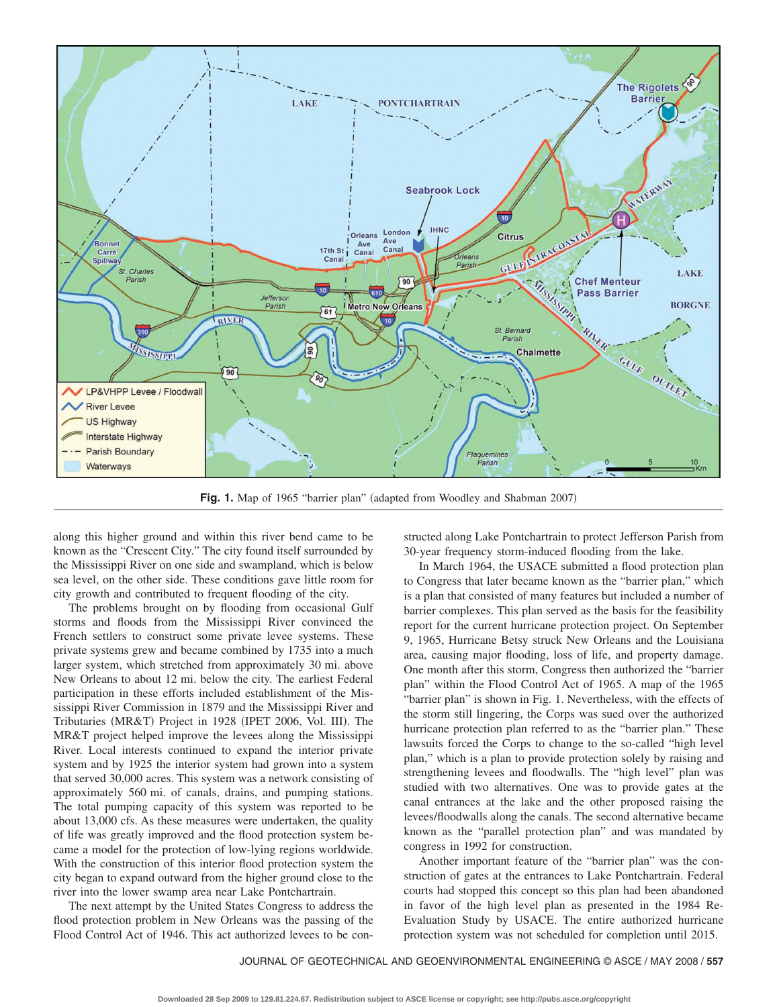

Fig. 1. Map of 1965 "barrier plan" (adapted from Woodley and Shabman 2007)

along this higher ground and within this river bend came to be known as the "Crescent City." The city found itself surrounded by the Mississippi River on one side and swampland, which is below sea level, on the other side. These conditions gave little room for city growth and contributed to frequent flooding of the city.

The problems brought on by flooding from occasional Gulf storms and floods from the Mississippi River convinced the French settlers to construct some private levee systems. These private systems grew and became combined by 1735 into a much larger system, which stretched from approximately 30 mi. above New Orleans to about 12 mi. below the city. The earliest Federal participation in these efforts included establishment of the Mississippi River Commission in 1879 and the Mississippi River and Tributaries (MR&T) Project in 1928 (IPET 2006, Vol. III). The MR&T project helped improve the levees along the Mississippi River. Local interests continued to expand the interior private system and by 1925 the interior system had grown into a system that served 30,000 acres. This system was a network consisting of approximately 560 mi. of canals, drains, and pumping stations. The total pumping capacity of this system was reported to be about 13,000 cfs. As these measures were undertaken, the quality of life was greatly improved and the flood protection system became a model for the protection of low-lying regions worldwide. With the construction of this interior flood protection system the city began to expand outward from the higher ground close to the river into the lower swamp area near Lake Pontchartrain.

The next attempt by the United States Congress to address the flood protection problem in New Orleans was the passing of the Flood Control Act of 1946. This act authorized levees to be constructed along Lake Pontchartrain to protect Jefferson Parish from 30-year frequency storm-induced flooding from the lake.

In March 1964, the USACE submitted a flood protection plan to Congress that later became known as the "barrier plan," which is a plan that consisted of many features but included a number of barrier complexes. This plan served as the basis for the feasibility report for the current hurricane protection project. On September 9, 1965, Hurricane Betsy struck New Orleans and the Louisiana area, causing major flooding, loss of life, and property damage. One month after this storm, Congress then authorized the "barrier plan" within the Flood Control Act of 1965. A map of the 1965 "barrier plan" is shown in Fig. 1. Nevertheless, with the effects of the storm still lingering, the Corps was sued over the authorized hurricane protection plan referred to as the "barrier plan." These lawsuits forced the Corps to change to the so-called "high level plan," which is a plan to provide protection solely by raising and strengthening levees and floodwalls. The "high level" plan was studied with two alternatives. One was to provide gates at the canal entrances at the lake and the other proposed raising the levees/floodwalls along the canals. The second alternative became known as the "parallel protection plan" and was mandated by congress in 1992 for construction.

Another important feature of the "barrier plan" was the construction of gates at the entrances to Lake Pontchartrain. Federal courts had stopped this concept so this plan had been abandoned in favor of the high level plan as presented in the 1984 Re-Evaluation Study by USACE. The entire authorized hurricane protection system was not scheduled for completion until 2015.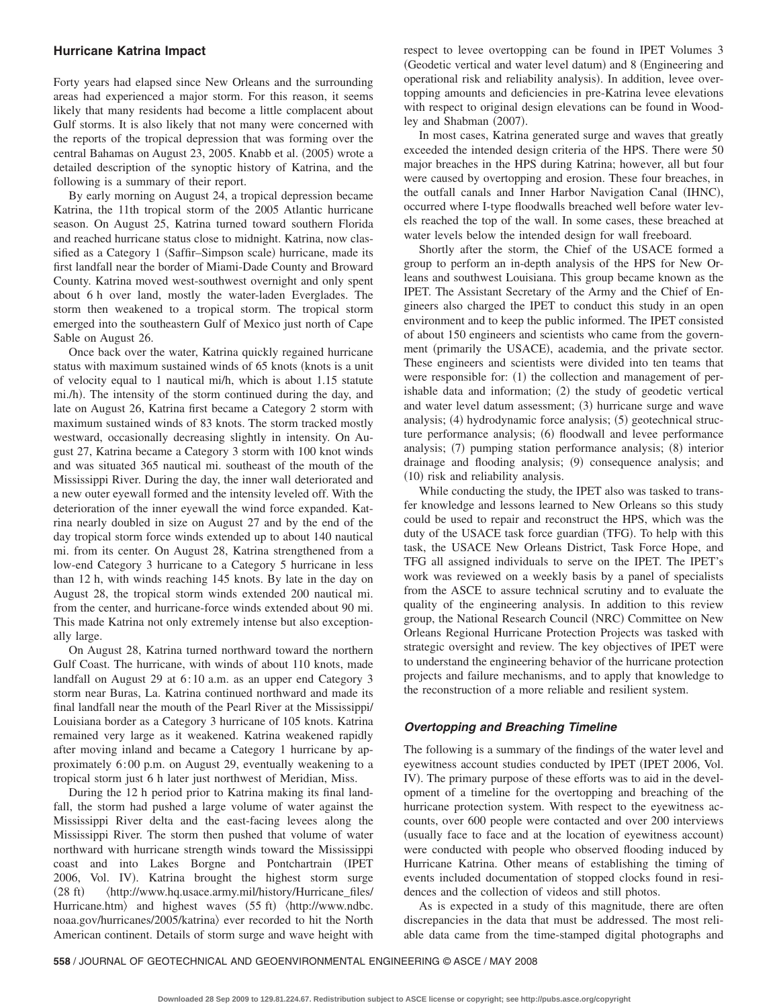## **Hurricane Katrina Impact**

Forty years had elapsed since New Orleans and the surrounding areas had experienced a major storm. For this reason, it seems likely that many residents had become a little complacent about Gulf storms. It is also likely that not many were concerned with the reports of the tropical depression that was forming over the central Bahamas on August 23, 2005. Knabb et al. (2005) wrote a detailed description of the synoptic history of Katrina, and the following is a summary of their report.

By early morning on August 24, a tropical depression became Katrina, the 11th tropical storm of the 2005 Atlantic hurricane season. On August 25, Katrina turned toward southern Florida and reached hurricane status close to midnight. Katrina, now classified as a Category 1 (Saffir-Simpson scale) hurricane, made its first landfall near the border of Miami-Dade County and Broward County. Katrina moved west-southwest overnight and only spent about 6 h over land, mostly the water-laden Everglades. The storm then weakened to a tropical storm. The tropical storm emerged into the southeastern Gulf of Mexico just north of Cape Sable on August 26.

Once back over the water, Katrina quickly regained hurricane status with maximum sustained winds of 65 knots (knots is a unit of velocity equal to 1 nautical mi/h, which is about 1.15 statute mi./h). The intensity of the storm continued during the day, and late on August 26, Katrina first became a Category 2 storm with maximum sustained winds of 83 knots. The storm tracked mostly westward, occasionally decreasing slightly in intensity. On August 27, Katrina became a Category 3 storm with 100 knot winds and was situated 365 nautical mi. southeast of the mouth of the Mississippi River. During the day, the inner wall deteriorated and a new outer eyewall formed and the intensity leveled off. With the deterioration of the inner eyewall the wind force expanded. Katrina nearly doubled in size on August 27 and by the end of the day tropical storm force winds extended up to about 140 nautical mi. from its center. On August 28, Katrina strengthened from a low-end Category 3 hurricane to a Category 5 hurricane in less than 12 h, with winds reaching 145 knots. By late in the day on August 28, the tropical storm winds extended 200 nautical mi. from the center, and hurricane-force winds extended about 90 mi. This made Katrina not only extremely intense but also exceptionally large.

On August 28, Katrina turned northward toward the northern Gulf Coast. The hurricane, with winds of about 110 knots, made landfall on August 29 at 6:10 a.m. as an upper end Category 3 storm near Buras, La. Katrina continued northward and made its final landfall near the mouth of the Pearl River at the Mississippi/ Louisiana border as a Category 3 hurricane of 105 knots. Katrina remained very large as it weakened. Katrina weakened rapidly after moving inland and became a Category 1 hurricane by approximately 6: 00 p.m. on August 29, eventually weakening to a tropical storm just 6 h later just northwest of Meridian, Miss.

During the 12 h period prior to Katrina making its final landfall, the storm had pushed a large volume of water against the Mississippi River delta and the east-facing levees along the Mississippi River. The storm then pushed that volume of water northward with hurricane strength winds toward the Mississippi coast and into Lakes Borgne and Pontchartrain (IPET 2006, Vol. IV). Katrina brought the highest storm surge  $(28 \text{ ft})$  http://www.hq.usace.army.mil/history/Hurricane\_files/ Hurricane.htm) and highest waves  $(55 \text{ ft})$   $\langle \text{http://www.ndbc.}$ noaa.gov/hurricanes/2005/katrina) ever recorded to hit the North American continent. Details of storm surge and wave height with respect to levee overtopping can be found in IPET Volumes 3 (Geodetic vertical and water level datum) and 8 (Engineering and operational risk and reliability analysis). In addition, levee overtopping amounts and deficiencies in pre-Katrina levee elevations with respect to original design elevations can be found in Woodley and Shabman (2007).

In most cases, Katrina generated surge and waves that greatly exceeded the intended design criteria of the HPS. There were 50 major breaches in the HPS during Katrina; however, all but four were caused by overtopping and erosion. These four breaches, in the outfall canals and Inner Harbor Navigation Canal (IHNC), occurred where I-type floodwalls breached well before water levels reached the top of the wall. In some cases, these breached at water levels below the intended design for wall freeboard.

Shortly after the storm, the Chief of the USACE formed a group to perform an in-depth analysis of the HPS for New Orleans and southwest Louisiana. This group became known as the IPET. The Assistant Secretary of the Army and the Chief of Engineers also charged the IPET to conduct this study in an open environment and to keep the public informed. The IPET consisted of about 150 engineers and scientists who came from the government (primarily the USACE), academia, and the private sector. These engineers and scientists were divided into ten teams that were responsible for:  $(1)$  the collection and management of perishable data and information; (2) the study of geodetic vertical and water level datum assessment; (3) hurricane surge and wave analysis; (4) hydrodynamic force analysis; (5) geotechnical structure performance analysis; (6) floodwall and levee performance analysis; (7) pumping station performance analysis; (8) interior drainage and flooding analysis; (9) consequence analysis; and (10) risk and reliability analysis.

While conducting the study, the IPET also was tasked to transfer knowledge and lessons learned to New Orleans so this study could be used to repair and reconstruct the HPS, which was the duty of the USACE task force guardian (TFG). To help with this task, the USACE New Orleans District, Task Force Hope, and TFG all assigned individuals to serve on the IPET. The IPET's work was reviewed on a weekly basis by a panel of specialists from the ASCE to assure technical scrutiny and to evaluate the quality of the engineering analysis. In addition to this review group, the National Research Council (NRC) Committee on New Orleans Regional Hurricane Protection Projects was tasked with strategic oversight and review. The key objectives of IPET were to understand the engineering behavior of the hurricane protection projects and failure mechanisms, and to apply that knowledge to the reconstruction of a more reliable and resilient system.

#### *Overtopping and Breaching Timeline*

The following is a summary of the findings of the water level and eyewitness account studies conducted by IPET (IPET 2006, Vol. IV). The primary purpose of these efforts was to aid in the development of a timeline for the overtopping and breaching of the hurricane protection system. With respect to the eyewitness accounts, over 600 people were contacted and over 200 interviews (usually face to face and at the location of eyewitness account) were conducted with people who observed flooding induced by Hurricane Katrina. Other means of establishing the timing of events included documentation of stopped clocks found in residences and the collection of videos and still photos.

As is expected in a study of this magnitude, there are often discrepancies in the data that must be addressed. The most reliable data came from the time-stamped digital photographs and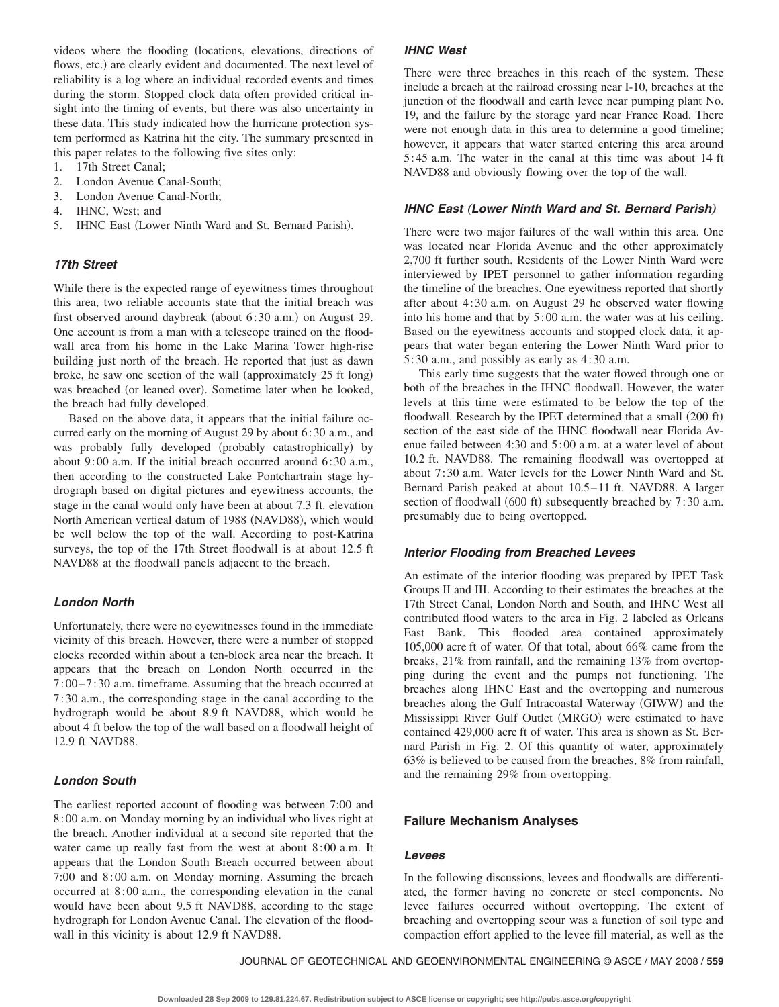videos where the flooding (locations, elevations, directions of flows, etc.) are clearly evident and documented. The next level of reliability is a log where an individual recorded events and times during the storm. Stopped clock data often provided critical insight into the timing of events, but there was also uncertainty in these data. This study indicated how the hurricane protection system performed as Katrina hit the city. The summary presented in this paper relates to the following five sites only:

- 1. 17th Street Canal;
- 2. London Avenue Canal-South;
- 3. London Avenue Canal-North;
- 4. IHNC, West; and
- 5. IHNC East (Lower Ninth Ward and St. Bernard Parish).

#### *17th Street*

While there is the expected range of eyewitness times throughout this area, two reliable accounts state that the initial breach was first observed around daybreak (about 6:30 a.m.) on August 29. One account is from a man with a telescope trained on the floodwall area from his home in the Lake Marina Tower high-rise building just north of the breach. He reported that just as dawn broke, he saw one section of the wall (approximately 25 ft long) was breached (or leaned over). Sometime later when he looked, the breach had fully developed.

Based on the above data, it appears that the initial failure occurred early on the morning of August 29 by about 6: 30 a.m., and was probably fully developed (probably catastrophically) by about 9: 00 a.m. If the initial breach occurred around 6: 30 a.m., then according to the constructed Lake Pontchartrain stage hydrograph based on digital pictures and eyewitness accounts, the stage in the canal would only have been at about 7.3 ft. elevation North American vertical datum of 1988 (NAVD88), which would be well below the top of the wall. According to post-Katrina surveys, the top of the 17th Street floodwall is at about 12.5 ft NAVD88 at the floodwall panels adjacent to the breach.

#### *London North*

Unfortunately, there were no eyewitnesses found in the immediate vicinity of this breach. However, there were a number of stopped clocks recorded within about a ten-block area near the breach. It appears that the breach on London North occurred in the 7: 00– 7: 30 a.m. timeframe. Assuming that the breach occurred at 7: 30 a.m., the corresponding stage in the canal according to the hydrograph would be about 8.9 ft NAVD88, which would be about 4 ft below the top of the wall based on a floodwall height of 12.9 ft NAVD88.

#### *London South*

The earliest reported account of flooding was between 7:00 and 8: 00 a.m. on Monday morning by an individual who lives right at the breach. Another individual at a second site reported that the water came up really fast from the west at about 8: 00 a.m. It appears that the London South Breach occurred between about 7:00 and 8: 00 a.m. on Monday morning. Assuming the breach occurred at 8: 00 a.m., the corresponding elevation in the canal would have been about 9.5 ft NAVD88, according to the stage hydrograph for London Avenue Canal. The elevation of the floodwall in this vicinity is about 12.9 ft NAVD88.

## *IHNC West*

There were three breaches in this reach of the system. These include a breach at the railroad crossing near I-10, breaches at the junction of the floodwall and earth levee near pumping plant No. 19, and the failure by the storage yard near France Road. There were not enough data in this area to determine a good timeline; however, it appears that water started entering this area around 5: 45 a.m. The water in the canal at this time was about 14 ft NAVD88 and obviously flowing over the top of the wall.

## *IHNC East* "*Lower Ninth Ward and St. Bernard Parish*…

There were two major failures of the wall within this area. One was located near Florida Avenue and the other approximately 2,700 ft further south. Residents of the Lower Ninth Ward were interviewed by IPET personnel to gather information regarding the timeline of the breaches. One eyewitness reported that shortly after about 4: 30 a.m. on August 29 he observed water flowing into his home and that by 5: 00 a.m. the water was at his ceiling. Based on the eyewitness accounts and stopped clock data, it appears that water began entering the Lower Ninth Ward prior to 5: 30 a.m., and possibly as early as 4: 30 a.m.

This early time suggests that the water flowed through one or both of the breaches in the IHNC floodwall. However, the water levels at this time were estimated to be below the top of the floodwall. Research by the IPET determined that a small (200 ft) section of the east side of the IHNC floodwall near Florida Avenue failed between 4:30 and 5: 00 a.m. at a water level of about 10.2 ft. NAVD88. The remaining floodwall was overtopped at about 7: 30 a.m. Water levels for the Lower Ninth Ward and St. Bernard Parish peaked at about 10.5– 11 ft. NAVD88. A larger section of floodwall (600 ft) subsequently breached by 7:30 a.m. presumably due to being overtopped.

## *Interior Flooding from Breached Levees*

An estimate of the interior flooding was prepared by IPET Task Groups II and III. According to their estimates the breaches at the 17th Street Canal, London North and South, and IHNC West all contributed flood waters to the area in Fig. 2 labeled as Orleans East Bank. This flooded area contained approximately 105,000 acre ft of water. Of that total, about 66% came from the breaks, 21% from rainfall, and the remaining 13% from overtopping during the event and the pumps not functioning. The breaches along IHNC East and the overtopping and numerous breaches along the Gulf Intracoastal Waterway (GIWW) and the Mississippi River Gulf Outlet (MRGO) were estimated to have contained 429,000 acre ft of water. This area is shown as St. Bernard Parish in Fig. 2. Of this quantity of water, approximately 63% is believed to be caused from the breaches, 8% from rainfall, and the remaining 29% from overtopping.

## **Failure Mechanism Analyses**

#### *Levees*

In the following discussions, levees and floodwalls are differentiated, the former having no concrete or steel components. No levee failures occurred without overtopping. The extent of breaching and overtopping scour was a function of soil type and compaction effort applied to the levee fill material, as well as the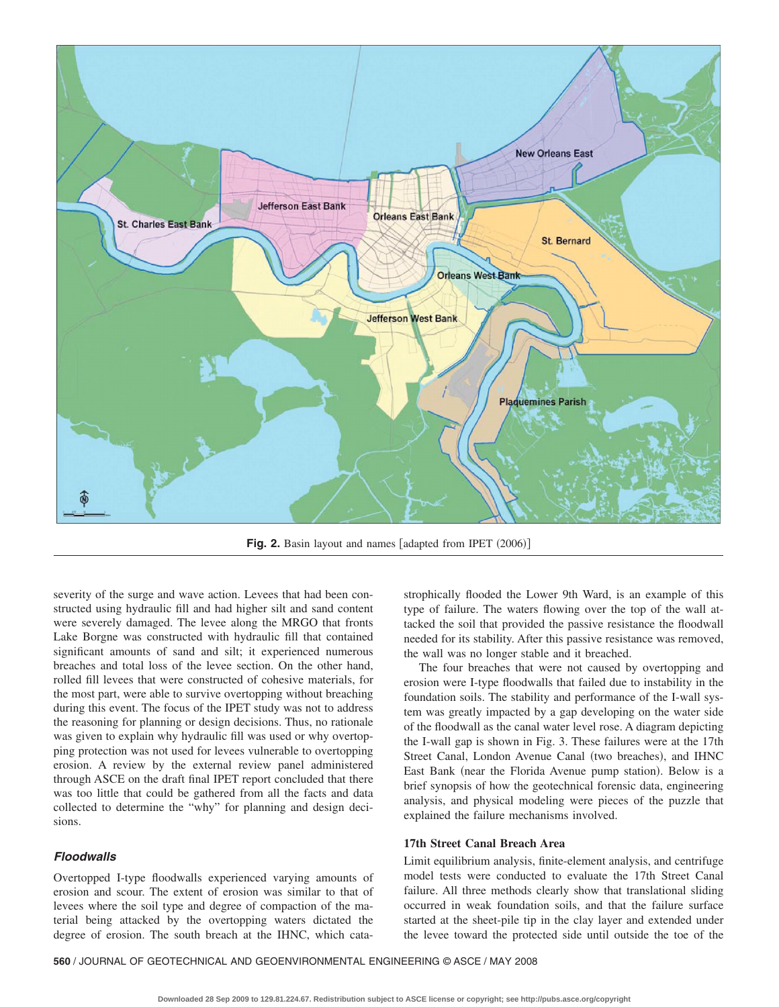

**Fig. 2.** Basin layout and names [adapted from IPET (2006)]

severity of the surge and wave action. Levees that had been constructed using hydraulic fill and had higher silt and sand content were severely damaged. The levee along the MRGO that fronts Lake Borgne was constructed with hydraulic fill that contained significant amounts of sand and silt; it experienced numerous breaches and total loss of the levee section. On the other hand, rolled fill levees that were constructed of cohesive materials, for the most part, were able to survive overtopping without breaching during this event. The focus of the IPET study was not to address the reasoning for planning or design decisions. Thus, no rationale was given to explain why hydraulic fill was used or why overtopping protection was not used for levees vulnerable to overtopping erosion. A review by the external review panel administered through ASCE on the draft final IPET report concluded that there was too little that could be gathered from all the facts and data collected to determine the "why" for planning and design decisions.

## *Floodwalls*

Overtopped I-type floodwalls experienced varying amounts of erosion and scour. The extent of erosion was similar to that of levees where the soil type and degree of compaction of the material being attacked by the overtopping waters dictated the degree of erosion. The south breach at the IHNC, which catastrophically flooded the Lower 9th Ward, is an example of this type of failure. The waters flowing over the top of the wall attacked the soil that provided the passive resistance the floodwall needed for its stability. After this passive resistance was removed, the wall was no longer stable and it breached.

The four breaches that were not caused by overtopping and erosion were I-type floodwalls that failed due to instability in the foundation soils. The stability and performance of the I-wall system was greatly impacted by a gap developing on the water side of the floodwall as the canal water level rose. A diagram depicting the I-wall gap is shown in Fig. 3. These failures were at the 17th Street Canal, London Avenue Canal (two breaches), and IHNC East Bank (near the Florida Avenue pump station). Below is a brief synopsis of how the geotechnical forensic data, engineering analysis, and physical modeling were pieces of the puzzle that explained the failure mechanisms involved.

# **17th Street Canal Breach Area**

Limit equilibrium analysis, finite-element analysis, and centrifuge model tests were conducted to evaluate the 17th Street Canal failure. All three methods clearly show that translational sliding occurred in weak foundation soils, and that the failure surface started at the sheet-pile tip in the clay layer and extended under the levee toward the protected side until outside the toe of the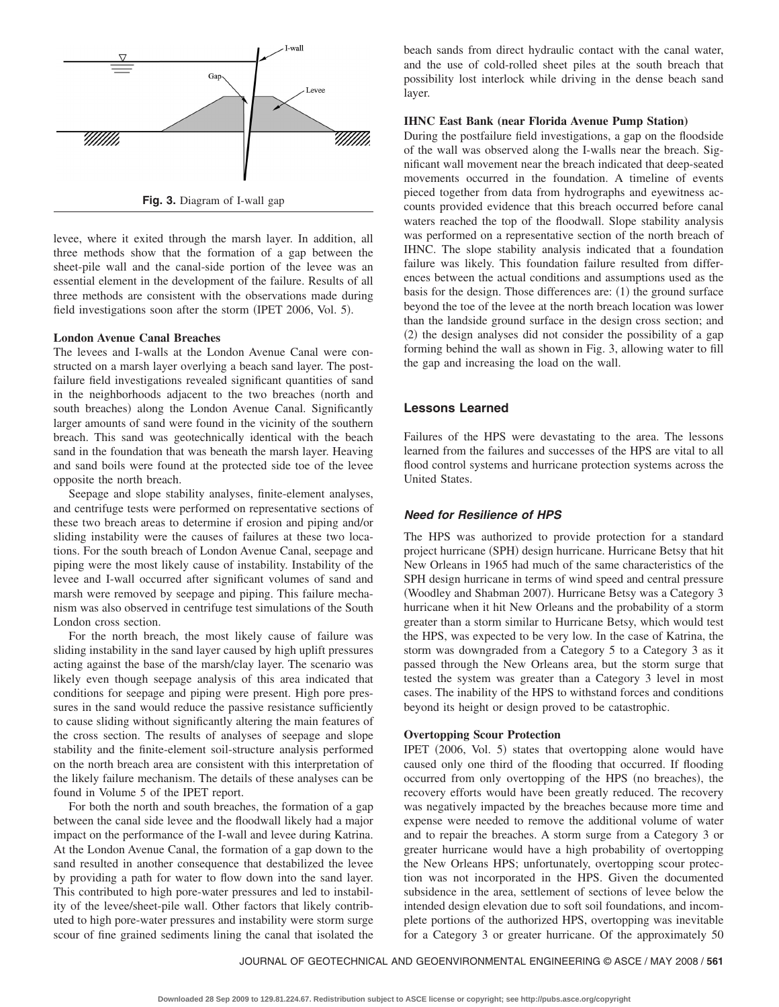

levee, where it exited through the marsh layer. In addition, all three methods show that the formation of a gap between the sheet-pile wall and the canal-side portion of the levee was an essential element in the development of the failure. Results of all three methods are consistent with the observations made during field investigations soon after the storm (IPET 2006, Vol. 5).

#### **London Avenue Canal Breaches**

The levees and I-walls at the London Avenue Canal were constructed on a marsh layer overlying a beach sand layer. The postfailure field investigations revealed significant quantities of sand in the neighborhoods adjacent to the two breaches (north and south breaches) along the London Avenue Canal. Significantly larger amounts of sand were found in the vicinity of the southern breach. This sand was geotechnically identical with the beach sand in the foundation that was beneath the marsh layer. Heaving and sand boils were found at the protected side toe of the levee opposite the north breach.

Seepage and slope stability analyses, finite-element analyses, and centrifuge tests were performed on representative sections of these two breach areas to determine if erosion and piping and/or sliding instability were the causes of failures at these two locations. For the south breach of London Avenue Canal, seepage and piping were the most likely cause of instability. Instability of the levee and I-wall occurred after significant volumes of sand and marsh were removed by seepage and piping. This failure mechanism was also observed in centrifuge test simulations of the South London cross section.

For the north breach, the most likely cause of failure was sliding instability in the sand layer caused by high uplift pressures acting against the base of the marsh/clay layer. The scenario was likely even though seepage analysis of this area indicated that conditions for seepage and piping were present. High pore pressures in the sand would reduce the passive resistance sufficiently to cause sliding without significantly altering the main features of the cross section. The results of analyses of seepage and slope stability and the finite-element soil-structure analysis performed on the north breach area are consistent with this interpretation of the likely failure mechanism. The details of these analyses can be found in Volume 5 of the IPET report.

For both the north and south breaches, the formation of a gap between the canal side levee and the floodwall likely had a major impact on the performance of the I-wall and levee during Katrina. At the London Avenue Canal, the formation of a gap down to the sand resulted in another consequence that destabilized the levee by providing a path for water to flow down into the sand layer. This contributed to high pore-water pressures and led to instability of the levee/sheet-pile wall. Other factors that likely contributed to high pore-water pressures and instability were storm surge scour of fine grained sediments lining the canal that isolated the beach sands from direct hydraulic contact with the canal water, and the use of cold-rolled sheet piles at the south breach that possibility lost interlock while driving in the dense beach sand layer.

#### **IHNC East Bank (near Florida Avenue Pump Station)**

During the postfailure field investigations, a gap on the floodside of the wall was observed along the I-walls near the breach. Significant wall movement near the breach indicated that deep-seated movements occurred in the foundation. A timeline of events pieced together from data from hydrographs and eyewitness accounts provided evidence that this breach occurred before canal waters reached the top of the floodwall. Slope stability analysis was performed on a representative section of the north breach of IHNC. The slope stability analysis indicated that a foundation failure was likely. This foundation failure resulted from differences between the actual conditions and assumptions used as the basis for the design. Those differences are:  $(1)$  the ground surface beyond the toe of the levee at the north breach location was lower than the landside ground surface in the design cross section; and (2) the design analyses did not consider the possibility of a gap forming behind the wall as shown in Fig. 3, allowing water to fill the gap and increasing the load on the wall.

## **Lessons Learned**

Failures of the HPS were devastating to the area. The lessons learned from the failures and successes of the HPS are vital to all flood control systems and hurricane protection systems across the United States.

#### *Need for Resilience of HPS*

The HPS was authorized to provide protection for a standard project hurricane (SPH) design hurricane. Hurricane Betsy that hit New Orleans in 1965 had much of the same characteristics of the SPH design hurricane in terms of wind speed and central pressure (Woodley and Shabman 2007). Hurricane Betsy was a Category 3 hurricane when it hit New Orleans and the probability of a storm greater than a storm similar to Hurricane Betsy, which would test the HPS, was expected to be very low. In the case of Katrina, the storm was downgraded from a Category 5 to a Category 3 as it passed through the New Orleans area, but the storm surge that tested the system was greater than a Category 3 level in most cases. The inability of the HPS to withstand forces and conditions beyond its height or design proved to be catastrophic.

## **Overtopping Scour Protection**

IPET (2006, Vol. 5) states that overtopping alone would have caused only one third of the flooding that occurred. If flooding occurred from only overtopping of the HPS (no breaches), the recovery efforts would have been greatly reduced. The recovery was negatively impacted by the breaches because more time and expense were needed to remove the additional volume of water and to repair the breaches. A storm surge from a Category 3 or greater hurricane would have a high probability of overtopping the New Orleans HPS; unfortunately, overtopping scour protection was not incorporated in the HPS. Given the documented subsidence in the area, settlement of sections of levee below the intended design elevation due to soft soil foundations, and incomplete portions of the authorized HPS, overtopping was inevitable for a Category 3 or greater hurricane. Of the approximately 50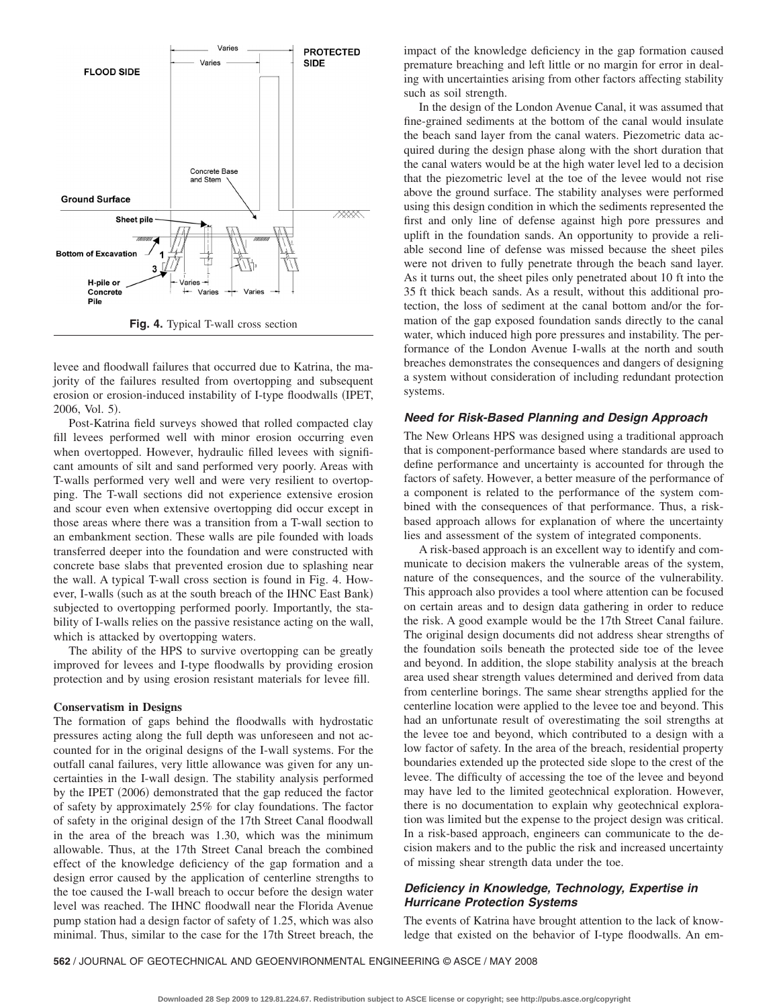

levee and floodwall failures that occurred due to Katrina, the majority of the failures resulted from overtopping and subsequent erosion or erosion-induced instability of I-type floodwalls (IPET, 2006, Vol. 5).

Post-Katrina field surveys showed that rolled compacted clay fill levees performed well with minor erosion occurring even when overtopped. However, hydraulic filled levees with significant amounts of silt and sand performed very poorly. Areas with T-walls performed very well and were very resilient to overtopping. The T-wall sections did not experience extensive erosion and scour even when extensive overtopping did occur except in those areas where there was a transition from a T-wall section to an embankment section. These walls are pile founded with loads transferred deeper into the foundation and were constructed with concrete base slabs that prevented erosion due to splashing near the wall. A typical T-wall cross section is found in Fig. 4. However, I-walls (such as at the south breach of the IHNC East Bank) subjected to overtopping performed poorly. Importantly, the stability of I-walls relies on the passive resistance acting on the wall, which is attacked by overtopping waters.

The ability of the HPS to survive overtopping can be greatly improved for levees and I-type floodwalls by providing erosion protection and by using erosion resistant materials for levee fill.

#### **Conservatism in Designs**

The formation of gaps behind the floodwalls with hydrostatic pressures acting along the full depth was unforeseen and not accounted for in the original designs of the I-wall systems. For the outfall canal failures, very little allowance was given for any uncertainties in the I-wall design. The stability analysis performed by the IPET (2006) demonstrated that the gap reduced the factor of safety by approximately 25% for clay foundations. The factor of safety in the original design of the 17th Street Canal floodwall in the area of the breach was 1.30, which was the minimum allowable. Thus, at the 17th Street Canal breach the combined effect of the knowledge deficiency of the gap formation and a design error caused by the application of centerline strengths to the toe caused the I-wall breach to occur before the design water level was reached. The IHNC floodwall near the Florida Avenue pump station had a design factor of safety of 1.25, which was also minimal. Thus, similar to the case for the 17th Street breach, the impact of the knowledge deficiency in the gap formation caused premature breaching and left little or no margin for error in dealing with uncertainties arising from other factors affecting stability such as soil strength.

In the design of the London Avenue Canal, it was assumed that fine-grained sediments at the bottom of the canal would insulate the beach sand layer from the canal waters. Piezometric data acquired during the design phase along with the short duration that the canal waters would be at the high water level led to a decision that the piezometric level at the toe of the levee would not rise above the ground surface. The stability analyses were performed using this design condition in which the sediments represented the first and only line of defense against high pore pressures and uplift in the foundation sands. An opportunity to provide a reliable second line of defense was missed because the sheet piles were not driven to fully penetrate through the beach sand layer. As it turns out, the sheet piles only penetrated about 10 ft into the 35 ft thick beach sands. As a result, without this additional protection, the loss of sediment at the canal bottom and/or the formation of the gap exposed foundation sands directly to the canal water, which induced high pore pressures and instability. The performance of the London Avenue I-walls at the north and south breaches demonstrates the consequences and dangers of designing a system without consideration of including redundant protection systems.

## *Need for Risk-Based Planning and Design Approach*

The New Orleans HPS was designed using a traditional approach that is component-performance based where standards are used to define performance and uncertainty is accounted for through the factors of safety. However, a better measure of the performance of a component is related to the performance of the system combined with the consequences of that performance. Thus, a riskbased approach allows for explanation of where the uncertainty lies and assessment of the system of integrated components.

A risk-based approach is an excellent way to identify and communicate to decision makers the vulnerable areas of the system, nature of the consequences, and the source of the vulnerability. This approach also provides a tool where attention can be focused on certain areas and to design data gathering in order to reduce the risk. A good example would be the 17th Street Canal failure. The original design documents did not address shear strengths of the foundation soils beneath the protected side toe of the levee and beyond. In addition, the slope stability analysis at the breach area used shear strength values determined and derived from data from centerline borings. The same shear strengths applied for the centerline location were applied to the levee toe and beyond. This had an unfortunate result of overestimating the soil strengths at the levee toe and beyond, which contributed to a design with a low factor of safety. In the area of the breach, residential property boundaries extended up the protected side slope to the crest of the levee. The difficulty of accessing the toe of the levee and beyond may have led to the limited geotechnical exploration. However, there is no documentation to explain why geotechnical exploration was limited but the expense to the project design was critical. In a risk-based approach, engineers can communicate to the decision makers and to the public the risk and increased uncertainty of missing shear strength data under the toe.

## *Deficiency in Knowledge, Technology, Expertise in Hurricane Protection Systems*

The events of Katrina have brought attention to the lack of knowledge that existed on the behavior of I-type floodwalls. An em-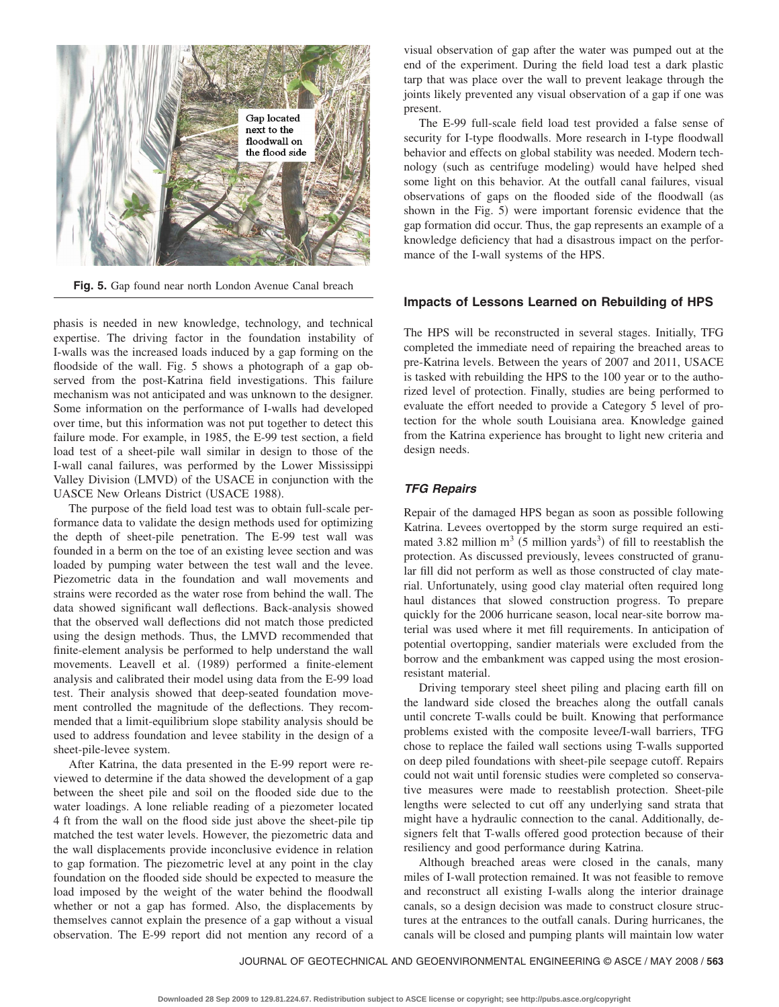

**Fig. 5.** Gap found near north London Avenue Canal breach

phasis is needed in new knowledge, technology, and technical expertise. The driving factor in the foundation instability of I-walls was the increased loads induced by a gap forming on the floodside of the wall. Fig. 5 shows a photograph of a gap observed from the post-Katrina field investigations. This failure mechanism was not anticipated and was unknown to the designer. Some information on the performance of I-walls had developed over time, but this information was not put together to detect this failure mode. For example, in 1985, the E-99 test section, a field load test of a sheet-pile wall similar in design to those of the I-wall canal failures, was performed by the Lower Mississippi Valley Division (LMVD) of the USACE in conjunction with the UASCE New Orleans District (USACE 1988).

The purpose of the field load test was to obtain full-scale performance data to validate the design methods used for optimizing the depth of sheet-pile penetration. The E-99 test wall was founded in a berm on the toe of an existing levee section and was loaded by pumping water between the test wall and the levee. Piezometric data in the foundation and wall movements and strains were recorded as the water rose from behind the wall. The data showed significant wall deflections. Back-analysis showed that the observed wall deflections did not match those predicted using the design methods. Thus, the LMVD recommended that finite-element analysis be performed to help understand the wall movements. Leavell et al. (1989) performed a finite-element analysis and calibrated their model using data from the E-99 load test. Their analysis showed that deep-seated foundation movement controlled the magnitude of the deflections. They recommended that a limit-equilibrium slope stability analysis should be used to address foundation and levee stability in the design of a sheet-pile-levee system.

After Katrina, the data presented in the E-99 report were reviewed to determine if the data showed the development of a gap between the sheet pile and soil on the flooded side due to the water loadings. A lone reliable reading of a piezometer located 4 ft from the wall on the flood side just above the sheet-pile tip matched the test water levels. However, the piezometric data and the wall displacements provide inconclusive evidence in relation to gap formation. The piezometric level at any point in the clay foundation on the flooded side should be expected to measure the load imposed by the weight of the water behind the floodwall whether or not a gap has formed. Also, the displacements by themselves cannot explain the presence of a gap without a visual observation. The E-99 report did not mention any record of a

visual observation of gap after the water was pumped out at the end of the experiment. During the field load test a dark plastic tarp that was place over the wall to prevent leakage through the joints likely prevented any visual observation of a gap if one was present.

The E-99 full-scale field load test provided a false sense of security for I-type floodwalls. More research in I-type floodwall behavior and effects on global stability was needed. Modern technology (such as centrifuge modeling) would have helped shed some light on this behavior. At the outfall canal failures, visual observations of gaps on the flooded side of the floodwall (as shown in the Fig. 5) were important forensic evidence that the gap formation did occur. Thus, the gap represents an example of a knowledge deficiency that had a disastrous impact on the performance of the I-wall systems of the HPS.

#### **Impacts of Lessons Learned on Rebuilding of HPS**

The HPS will be reconstructed in several stages. Initially, TFG completed the immediate need of repairing the breached areas to pre-Katrina levels. Between the years of 2007 and 2011, USACE is tasked with rebuilding the HPS to the 100 year or to the authorized level of protection. Finally, studies are being performed to evaluate the effort needed to provide a Category 5 level of protection for the whole south Louisiana area. Knowledge gained from the Katrina experience has brought to light new criteria and design needs.

## *TFG Repairs*

Repair of the damaged HPS began as soon as possible following Katrina. Levees overtopped by the storm surge required an estimated 3.82 million  $m<sup>3</sup>$  (5 million yards<sup>3</sup>) of fill to reestablish the protection. As discussed previously, levees constructed of granular fill did not perform as well as those constructed of clay material. Unfortunately, using good clay material often required long haul distances that slowed construction progress. To prepare quickly for the 2006 hurricane season, local near-site borrow material was used where it met fill requirements. In anticipation of potential overtopping, sandier materials were excluded from the borrow and the embankment was capped using the most erosionresistant material.

Driving temporary steel sheet piling and placing earth fill on the landward side closed the breaches along the outfall canals until concrete T-walls could be built. Knowing that performance problems existed with the composite levee/I-wall barriers, TFG chose to replace the failed wall sections using T-walls supported on deep piled foundations with sheet-pile seepage cutoff. Repairs could not wait until forensic studies were completed so conservative measures were made to reestablish protection. Sheet-pile lengths were selected to cut off any underlying sand strata that might have a hydraulic connection to the canal. Additionally, designers felt that T-walls offered good protection because of their resiliency and good performance during Katrina.

Although breached areas were closed in the canals, many miles of I-wall protection remained. It was not feasible to remove and reconstruct all existing I-walls along the interior drainage canals, so a design decision was made to construct closure structures at the entrances to the outfall canals. During hurricanes, the canals will be closed and pumping plants will maintain low water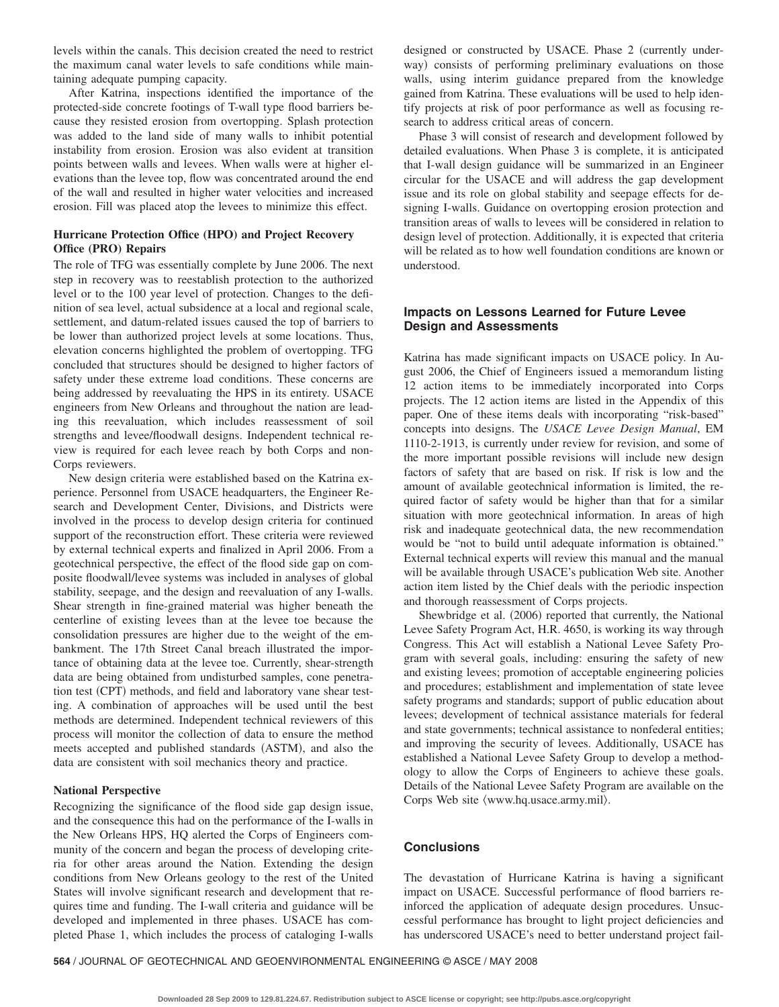levels within the canals. This decision created the need to restrict the maximum canal water levels to safe conditions while maintaining adequate pumping capacity.

After Katrina, inspections identified the importance of the protected-side concrete footings of T-wall type flood barriers because they resisted erosion from overtopping. Splash protection was added to the land side of many walls to inhibit potential instability from erosion. Erosion was also evident at transition points between walls and levees. When walls were at higher elevations than the levee top, flow was concentrated around the end of the wall and resulted in higher water velocities and increased erosion. Fill was placed atop the levees to minimize this effect.

## **Hurricane Protection Office (HPO) and Project Recovery Office (PRO) Repairs**

The role of TFG was essentially complete by June 2006. The next step in recovery was to reestablish protection to the authorized level or to the 100 year level of protection. Changes to the definition of sea level, actual subsidence at a local and regional scale, settlement, and datum-related issues caused the top of barriers to be lower than authorized project levels at some locations. Thus, elevation concerns highlighted the problem of overtopping. TFG concluded that structures should be designed to higher factors of safety under these extreme load conditions. These concerns are being addressed by reevaluating the HPS in its entirety. USACE engineers from New Orleans and throughout the nation are leading this reevaluation, which includes reassessment of soil strengths and levee/floodwall designs. Independent technical review is required for each levee reach by both Corps and non-Corps reviewers.

New design criteria were established based on the Katrina experience. Personnel from USACE headquarters, the Engineer Research and Development Center, Divisions, and Districts were involved in the process to develop design criteria for continued support of the reconstruction effort. These criteria were reviewed by external technical experts and finalized in April 2006. From a geotechnical perspective, the effect of the flood side gap on composite floodwall/levee systems was included in analyses of global stability, seepage, and the design and reevaluation of any I-walls. Shear strength in fine-grained material was higher beneath the centerline of existing levees than at the levee toe because the consolidation pressures are higher due to the weight of the embankment. The 17th Street Canal breach illustrated the importance of obtaining data at the levee toe. Currently, shear-strength data are being obtained from undisturbed samples, cone penetration test (CPT) methods, and field and laboratory vane shear testing. A combination of approaches will be used until the best methods are determined. Independent technical reviewers of this process will monitor the collection of data to ensure the method meets accepted and published standards (ASTM), and also the data are consistent with soil mechanics theory and practice.

## **National Perspective**

Recognizing the significance of the flood side gap design issue, and the consequence this had on the performance of the I-walls in the New Orleans HPS, HQ alerted the Corps of Engineers community of the concern and began the process of developing criteria for other areas around the Nation. Extending the design conditions from New Orleans geology to the rest of the United States will involve significant research and development that requires time and funding. The I-wall criteria and guidance will be developed and implemented in three phases. USACE has completed Phase 1, which includes the process of cataloging I-walls designed or constructed by USACE. Phase 2 (currently underway) consists of performing preliminary evaluations on those walls, using interim guidance prepared from the knowledge gained from Katrina. These evaluations will be used to help identify projects at risk of poor performance as well as focusing research to address critical areas of concern.

Phase 3 will consist of research and development followed by detailed evaluations. When Phase 3 is complete, it is anticipated that I-wall design guidance will be summarized in an Engineer circular for the USACE and will address the gap development issue and its role on global stability and seepage effects for designing I-walls. Guidance on overtopping erosion protection and transition areas of walls to levees will be considered in relation to design level of protection. Additionally, it is expected that criteria will be related as to how well foundation conditions are known or understood.

## **Impacts on Lessons Learned for Future Levee Design and Assessments**

Katrina has made significant impacts on USACE policy. In August 2006, the Chief of Engineers issued a memorandum listing 12 action items to be immediately incorporated into Corps projects. The 12 action items are listed in the Appendix of this paper. One of these items deals with incorporating "risk-based" concepts into designs. The *USACE Levee Design Manual*, EM 1110-2-1913, is currently under review for revision, and some of the more important possible revisions will include new design factors of safety that are based on risk. If risk is low and the amount of available geotechnical information is limited, the required factor of safety would be higher than that for a similar situation with more geotechnical information. In areas of high risk and inadequate geotechnical data, the new recommendation would be "not to build until adequate information is obtained." External technical experts will review this manual and the manual will be available through USACE's publication Web site. Another action item listed by the Chief deals with the periodic inspection and thorough reassessment of Corps projects.

Shewbridge et al. (2006) reported that currently, the National Levee Safety Program Act, H.R. 4650, is working its way through Congress. This Act will establish a National Levee Safety Program with several goals, including: ensuring the safety of new and existing levees; promotion of acceptable engineering policies and procedures; establishment and implementation of state levee safety programs and standards; support of public education about levees; development of technical assistance materials for federal and state governments; technical assistance to nonfederal entities; and improving the security of levees. Additionally, USACE has established a National Levee Safety Group to develop a methodology to allow the Corps of Engineers to achieve these goals. Details of the National Levee Safety Program are available on the Corps Web site  $\langle www.hq.usace.army.mil \rangle$ .

# **Conclusions**

The devastation of Hurricane Katrina is having a significant impact on USACE. Successful performance of flood barriers reinforced the application of adequate design procedures. Unsuccessful performance has brought to light project deficiencies and has underscored USACE's need to better understand project fail-